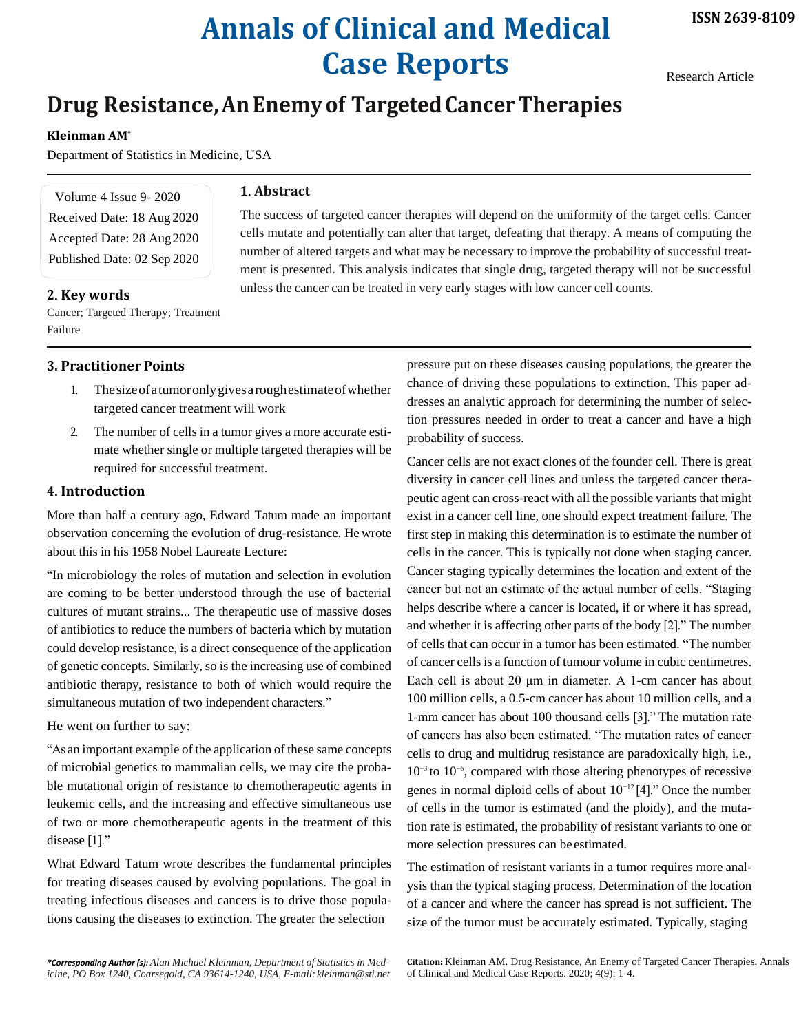# **Annals of Clinical and Medical Case Reports**

Research Article

# **Drug Resistance,AnEnemyof TargetedCancerTherapies**

# **Kleinman AM\***

Department of Statistics in Medicine, USA

Volume 4 Issue 9- 2020 Received Date: 18 Aug 2020 Accepted Date: 28 Aug2020 Published Date: 02 Sep 2020

### **2. Key words**

Cancer; Targeted Therapy; Treatment Failure

# **3. Practitioner Points**

- 1. Thesizeofatumoronlygivesaroughestimateofwhether targeted cancer treatment will work
- 2. The number of cells in a tumor gives a more accurate estimate whether single or multiple targeted therapies will be required for successful treatment.

## **4. Introduction**

More than half a century ago, Edward Tatum made an important observation concerning the evolution of drug-resistance. He wrote about this in his 1958 Nobel Laureate Lecture:

"In microbiology the roles of mutation and selection in evolution are coming to be better understood through the use of bacterial cultures of mutant strains... The therapeutic use of massive doses of antibiotics to reduce the numbers of bacteria which by mutation could develop resistance, is a direct consequence of the application of genetic concepts. Similarly, so is the increasing use of combined antibiotic therapy, resistance to both of which would require the simultaneous mutation of two independent characters."

He went on further to say:

"As an important example of the application of these same concepts of microbial genetics to mammalian cells, we may cite the probable mutational origin of resistance to chemotherapeutic agents in leukemic cells, and the increasing and effective simultaneous use of two or more chemotherapeutic agents in the treatment of this disease [1]."

What Edward Tatum wrote describes the fundamental principles for treating diseases caused by evolving populations. The goal in treating infectious diseases and cancers is to drive those populations causing the diseases to extinction. The greater the selection

The success of targeted cancer therapies will depend on the uniformity of the target cells. Cancer cells mutate and potentially can alter that target, defeating that therapy. A means of computing the number of altered targets and what may be necessary to improve the probability of successful treatment is presented. This analysis indicates that single drug, targeted therapy will not be successful unless the cancer can be treated in very early stages with low cancer cell counts.

> pressure put on these diseases causing populations, the greater the chance of driving these populations to extinction. This paper addresses an analytic approach for determining the number of selection pressures needed in order to treat a cancer and have a high probability of success.

> Cancer cells are not exact clones of the founder cell. There is great diversity in cancer cell lines and unless the targeted cancer therapeutic agent can cross-react with all the possible variants that might exist in a cancer cell line, one should expect treatment failure. The first step in making this determination is to estimate the number of cells in the cancer. This is typically not done when staging cancer. Cancer staging typically determines the location and extent of the cancer but not an estimate of the actual number of cells. "Staging helps describe where a cancer is located, if or where it has spread, and whether it is affecting other parts of the body [2]." The number of cells that can occur in a tumor has been estimated. "The number of cancer cells is a function of tumour volume in cubic centimetres. Each cell is about 20 μm in diameter. A 1-cm cancer has about 100 million cells, a 0.5-cm cancer has about 10 million cells, and a 1-mm cancer has about 100 thousand cells [3]." The mutation rate of cancers has also been estimated. "The mutation rates of cancer cells to drug and multidrug resistance are paradoxically high, i.e., 10−3 to 10−6, compared with those altering phenotypes of recessive genes in normal diploid cells of about 10−12 [4]." Once the number of cells in the tumor is estimated (and the ploidy), and the mutation rate is estimated, the probability of resistant variants to one or more selection pressures can be estimated.

> The estimation of resistant variants in a tumor requires more analysis than the typical staging process. Determination of the location of a cancer and where the cancer has spread is not sufficient. The size of the tumor must be accurately estimated. Typically, staging

**Citation:** Kleinman AM. Drug Resistance, An Enemy of Targeted Cancer Therapies. Annals of Clinical and Medical Case Reports. 2020; 4(9): 1-4.

# **1. Abstract**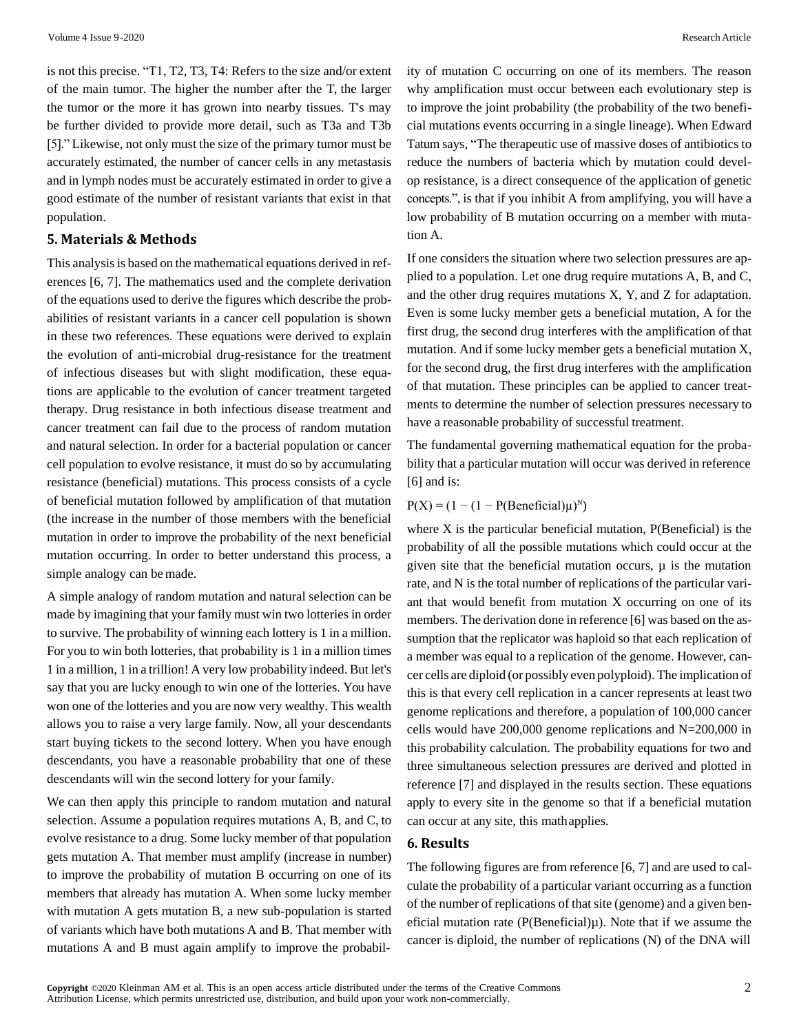is not this precise. "T1, T2, T3, T4: Refers to the size and/or extent of the main tumor. The higher the number after the T, the larger the tumor or the more it has grown into nearby tissues. T's may be further divided to provide more detail, such as T3a and T3b [5]." Likewise, not only must the size of the primary tumor must be accurately estimated, the number of cancer cells in any metastasis and in lymph nodes must be accurately estimated in order to give a good estimate of the number of resistant variants that exist in that population.

#### **5. Materials & Methods**

This analysis is based on the mathematical equations derived in references [6, 7]. The mathematics used and the complete derivation of the equations used to derive the figures which describe the probabilities of resistant variants in a cancer cell population is shown in these two references. These equations were derived to explain the evolution of anti-microbial drug-resistance for the treatment of infectious diseases but with slight modification, these equations are applicable to the evolution of cancer treatment targeted therapy. Drug resistance in both infectious disease treatment and cancer treatment can fail due to the process of random mutation and natural selection. In order for a bacterial population or cancer cell population to evolve resistance, it must do so by accumulating resistance (beneficial) mutations. This process consists of a cycle of beneficial mutation followed by amplification of that mutation (the increase in the number of those members with the beneficial mutation in order to improve the probability of the next beneficial mutation occurring. In order to better understand this process, a simple analogy can bemade.

A simple analogy of random mutation and natural selection can be made by imagining that your family must win two lotteries in order to survive. The probability of winning each lottery is 1 in a million. For you to win both lotteries, that probability is 1 in a million times 1 in a million, 1 in a trillion! A very low probability indeed. But let's say that you are lucky enough to win one of the lotteries. You have won one of the lotteries and you are now very wealthy. This wealth allows you to raise a very large family. Now, all your descendants start buying tickets to the second lottery. When you have enough descendants, you have a reasonable probability that one of these descendants will win the second lottery for your family.

We can then apply this principle to random mutation and natural selection. Assume a population requires mutations A, B, and C, to evolve resistance to a drug. Some lucky member of that population gets mutation A. That member must amplify (increase in number) to improve the probability of mutation B occurring on one of its members that already has mutation A. When some lucky member with mutation A gets mutation B, a new sub-population is started of variants which have both mutations A and B. That member with mutations A and B must again amplify to improve the probability of mutation C occurring on one of its members. The reason why amplification must occur between each evolutionary step is to improve the joint probability (the probability of the two beneficial mutations events occurring in a single lineage). When Edward Tatum says, "The therapeutic use of massive doses of antibiotics to reduce the numbers of bacteria which by mutation could develop resistance, is a direct consequence of the application of genetic concepts.", is that if you inhibit A from amplifying, you will have a low probability of B mutation occurring on a member with mutation A.

If one considers the situation where two selection pressures are applied to a population. Let one drug require mutations A, B, and C, and the other drug requires mutations X, Y, and Z for adaptation. Even is some lucky member gets a beneficial mutation, A for the first drug, the second drug interferes with the amplification of that mutation. And if some lucky member gets a beneficial mutation X, for the second drug, the first drug interferes with the amplification of that mutation. These principles can be applied to cancer treatments to determine the number of selection pressures necessary to have a reasonable probability of successful treatment.

The fundamental governing mathematical equation for the probability that a particular mutation will occur was derived in reference [6] and is:

#### $P(X) = (1 - (1 - P(Beneficial)\mu)^N)$

where X is the particular beneficial mutation, P(Beneficial) is the probability of all the possible mutations which could occur at the given site that the beneficial mutation occurs, µ is the mutation rate, and N is the total number of replications of the particular variant that would benefit from mutation X occurring on one of its members. The derivation done in reference [6] was based on the assumption that the replicator was haploid so that each replication of a member was equal to a replication of the genome. However, cancer cells are diploid (or possibly even polyploid). The implication of this is that every cell replication in a cancer represents at least two genome replications and therefore, a population of 100,000 cancer cells would have  $200,000$  genome replications and  $N=200,000$  in this probability calculation. The probability equations for two and three simultaneous selection pressures are derived and plotted in reference [7] and displayed in the results section. These equations apply to every site in the genome so that if a beneficial mutation can occur at any site, this mathapplies.

#### **6. Results**

The following figures are from reference [6, 7] and are used to calculate the probability of a particular variant occurring as a function of the number of replications of that site (genome) and a given beneficial mutation rate  $(P(Beneficial)\mu)$ . Note that if we assume the cancer is diploid, the number of replications (N) of the DNA will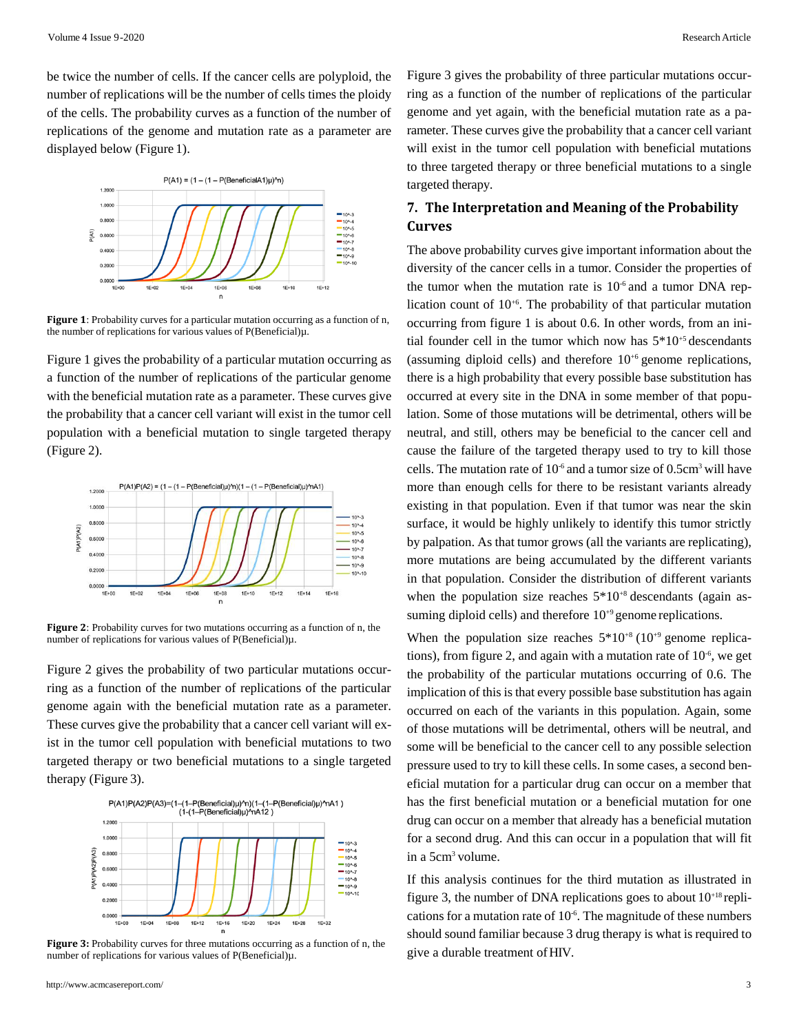be twice the number of cells. If the cancer cells are polyploid, the number of replications will be the number of cells times the ploidy of the cells. The probability curves as a function of the number of replications of the genome and mutation rate as a parameter are displayed below (Figure 1).



**Figure 1**: Probability curves for a particular mutation occurring as a function of n, the number of replications for various values of  $P(Beneficial)\mu$ .

Figure 1 gives the probability of a particular mutation occurring as a function of the number of replications of the particular genome with the beneficial mutation rate as a parameter. These curves give the probability that a cancer cell variant will exist in the tumor cell population with a beneficial mutation to single targeted therapy (Figure 2).



**Figure 2**: Probability curves for two mutations occurring as a function of n, the number of replications for various values of P(Beneficial)µ.

Figure 2 gives the probability of two particular mutations occurring as a function of the number of replications of the particular genome again with the beneficial mutation rate as a parameter. These curves give the probability that a cancer cell variant will exist in the tumor cell population with beneficial mutations to two targeted therapy or two beneficial mutations to a single targeted therapy (Figure 3).



Figure 3: Probability curves for three mutations occurring as a function of n, the number of replications for various values of P(Beneficial)µ.

Figure 3 gives the probability of three particular mutations occurring as a function of the number of replications of the particular genome and yet again, with the beneficial mutation rate as a parameter. These curves give the probability that a cancer cell variant will exist in the tumor cell population with beneficial mutations to three targeted therapy or three beneficial mutations to a single targeted therapy.

# **7. The Interpretation and Meaning of the Probability Curves**

The above probability curves give important information about the diversity of the cancer cells in a tumor. Consider the properties of the tumor when the mutation rate is  $10^{-6}$  and a tumor DNA replication count of  $10^{+6}$ . The probability of that particular mutation occurring from figure 1 is about 0.6. In other words, from an initial founder cell in the tumor which now has  $5*10^{+5}$  descendants (assuming diploid cells) and therefore  $10^{+6}$  genome replications, there is a high probability that every possible base substitution has occurred at every site in the DNA in some member of that population. Some of those mutations will be detrimental, others will be neutral, and still, others may be beneficial to the cancer cell and cause the failure of the targeted therapy used to try to kill those cells. The mutation rate of  $10<sup>6</sup>$  and a tumor size of 0.5cm<sup>3</sup> will have more than enough cells for there to be resistant variants already existing in that population. Even if that tumor was near the skin surface, it would be highly unlikely to identify this tumor strictly by palpation. As that tumor grows (all the variants are replicating), more mutations are being accumulated by the different variants in that population. Consider the distribution of different variants when the population size reaches  $5*10^{+8}$  descendants (again assuming diploid cells) and therefore  $10^{+9}$  genome replications.

When the population size reaches  $5*10^{+8}$  (10<sup>+9</sup> genome replications), from figure 2, and again with a mutation rate of  $10<sup>-6</sup>$ , we get the probability of the particular mutations occurring of 0.6. The implication of this is that every possible base substitution has again occurred on each of the variants in this population. Again, some of those mutations will be detrimental, others will be neutral, and some will be beneficial to the cancer cell to any possible selection pressure used to try to kill these cells. In some cases, a second beneficial mutation for a particular drug can occur on a member that has the first beneficial mutation or a beneficial mutation for one drug can occur on a member that already has a beneficial mutation for a second drug. And this can occur in a population that will fit in a 5cm<sup>3</sup> volume.

If this analysis continues for the third mutation as illustrated in figure 3, the number of DNA replications goes to about  $10^{+18}$  replications for a mutation rate of  $10<sup>-6</sup>$ . The magnitude of these numbers should sound familiar because 3 drug therapy is what is required to give a durable treatment of HIV.